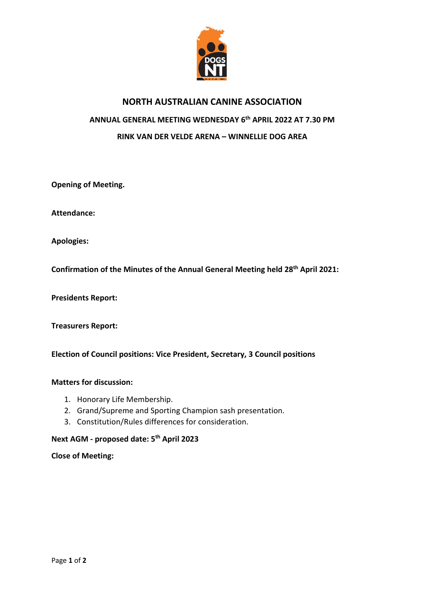

# **NORTH AUSTRALIAN CANINE ASSOCIATION ANNUAL GENERAL MEETING WEDNESDAY 6 th APRIL 2022 AT 7.30 PM RINK VAN DER VELDE ARENA – WINNELLIE DOG AREA**

**Opening of Meeting.**

**Attendance:**

**Apologies:**

**Confirmation of the Minutes of the Annual General Meeting held 28th April 2021:** 

**Presidents Report:**

**Treasurers Report:**

**Election of Council positions: Vice President, Secretary, 3 Council positions**

#### **Matters for discussion:**

- 1. Honorary Life Membership.
- 2. Grand/Supreme and Sporting Champion sash presentation.
- 3. Constitution/Rules differences for consideration.

## **Next AGM - proposed date: 5th April 2023**

#### **Close of Meeting:**